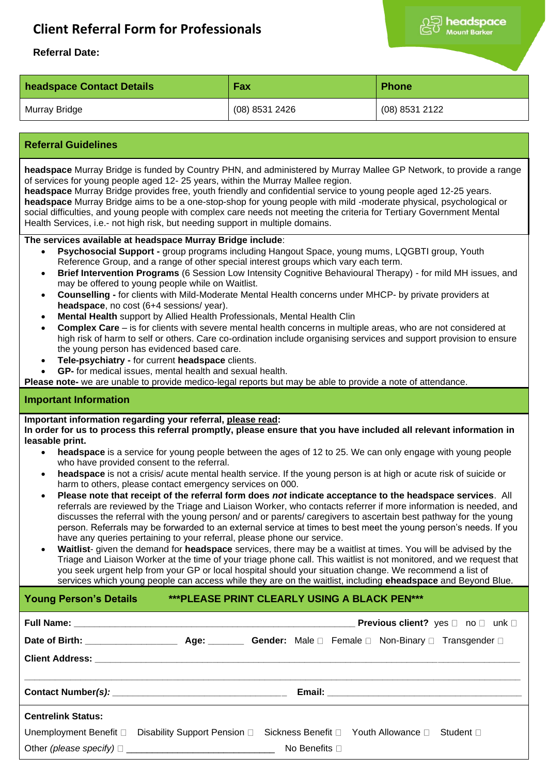# **Client Referral Form for Professionals**



## **Referral Date:**

| headspace Contact Details | Fax            | <b>Phone</b>   |
|---------------------------|----------------|----------------|
| Murray Bridge             | (08) 8531 2426 | (08) 8531 2122 |

## **Referral Guidelines**

**headspace** Murray Bridge is funded by Country PHN, and administered by Murray Mallee GP Network, to provide a range of services for young people aged 12- 25 years, within the Murray Mallee region.

**headspace** Murray Bridge provides free, youth friendly and confidential service to young people aged 12-25 years. **headspace** Murray Bridge aims to be a one-stop-shop for young people with mild -moderate physical, psychological or social difficulties, and young people with complex care needs not meeting the criteria for Tertiary Government Mental Health Services, i.e.- not high risk, but needing support in multiple domains.

#### **The services available at headspace Murray Bridge include**:

- **Psychosocial Support -** group programs including Hangout Space, young mums, LQGBTI group, Youth Reference Group, and a range of other special interest groups which vary each term.
- **Brief Intervention Programs** (6 Session Low Intensity Cognitive Behavioural Therapy) for mild MH issues, and may be offered to young people while on Waitlist.
- **Counselling -** for clients with Mild-Moderate Mental Health concerns under MHCP- by private providers at **headspace**, no cost (6+4 sessions/ year).
- **Mental Health** support by Allied Health Professionals, Mental Health Clin
- **Complex Care**  is for clients with severe mental health concerns in multiple areas, who are not considered at high risk of harm to self or others. Care co-ordination include organising services and support provision to ensure the young person has evidenced based care.
- **Tele-psychiatry -** for current **headspace** clients.
- **GP-** for medical issues, mental health and sexual health.

**Please note-** we are unable to provide medico-legal reports but may be able to provide a note of attendance.

#### **Important Information**

### **Important information regarding your referral, please read:**

**In order for us to process this referral promptly, please ensure that you have included all relevant information in leasable print.**

- **headspace** is a service for young people between the ages of 12 to 25. We can only engage with young people who have provided consent to the referral.
- **headspace** is not a crisis/ acute mental health service. If the young person is at high or acute risk of suicide or harm to others, please contact emergency services on 000.
- **Please note that receipt of the referral form does** *not* **indicate acceptance to the headspace services**. All referrals are reviewed by the Triage and Liaison Worker, who contacts referrer if more information is needed, and discusses the referral with the young person/ and or parents/ caregivers to ascertain best pathway for the young person. Referrals may be forwarded to an external service at times to best meet the young person's needs. If you have any queries pertaining to your referral, please phone our service.
- **Waitlist** given the demand for **headspace** services, there may be a waitlist at times. You will be advised by the Triage and Liaison Worker at the time of your triage phone call. This waitlist is not monitored, and we request that you seek urgent help from your GP or local hospital should your situation change. We recommend a list of services which young people can access while they are on the waitlist, including **eheadspace** and Beyond Blue.

## **Young Person's Details \*\*\*PLEASE PRINT CLEARLY USING A BLACK PEN\*\*\***

|                           | <b>Previous client?</b> yes $\Box$ no $\Box$ unk $\Box$                                                         |  |  |  |
|---------------------------|-----------------------------------------------------------------------------------------------------------------|--|--|--|
|                           |                                                                                                                 |  |  |  |
|                           |                                                                                                                 |  |  |  |
|                           | Contact Number(s): 2008 2012 2022 2023 2024 2022 2023 2024 2022 2023 2024 2022 2023 2024 2022 2023 2024 2022 20 |  |  |  |
| <b>Centrelink Status:</b> |                                                                                                                 |  |  |  |
|                           | Unemployment Benefit □ Disability Support Pension □ Sickness Benefit □ Youth Allowance □ Student □              |  |  |  |
|                           |                                                                                                                 |  |  |  |